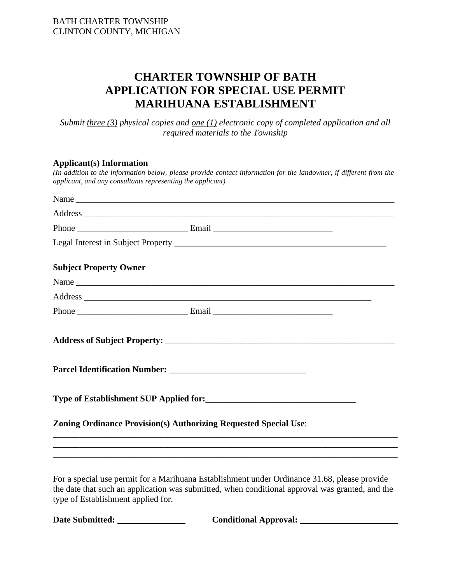# **CHARTER TOWNSHIP OF BATH APPLICATION FOR SPECIAL USE PERMIT MARIHUANA ESTABLISHMENT**

*Submit three (3) physical copies and one (1) electronic copy of completed application and all required materials to the Township* 

#### **Applicant(s) Information**

|                               | (In addition to the information below, please provide contact information for the landowner, if different from the<br>applicant, and any consultants representing the applicant) |  |  |
|-------------------------------|----------------------------------------------------------------------------------------------------------------------------------------------------------------------------------|--|--|
|                               | Name                                                                                                                                                                             |  |  |
|                               |                                                                                                                                                                                  |  |  |
|                               |                                                                                                                                                                                  |  |  |
|                               |                                                                                                                                                                                  |  |  |
| <b>Subject Property Owner</b> |                                                                                                                                                                                  |  |  |
|                               |                                                                                                                                                                                  |  |  |
|                               |                                                                                                                                                                                  |  |  |
|                               |                                                                                                                                                                                  |  |  |
|                               |                                                                                                                                                                                  |  |  |
|                               |                                                                                                                                                                                  |  |  |
|                               |                                                                                                                                                                                  |  |  |
|                               | <b>Zoning Ordinance Provision(s) Authorizing Requested Special Use:</b><br>,我们也不能在这里的时候,我们也不能在这里的时候,我们也不能不能不能不能不能不能不能不能不能不能不能不能不能不能不能。""我们的是,我们也不能不能不能不能不能不能                     |  |  |
|                               |                                                                                                                                                                                  |  |  |
|                               |                                                                                                                                                                                  |  |  |

For a special use permit for a Marihuana Establishment under Ordinance 31.68, please provide the date that such an application was submitted, when conditional approval was granted, and the type of Establishment applied for.

**Date Submitted: Conditional Approval:**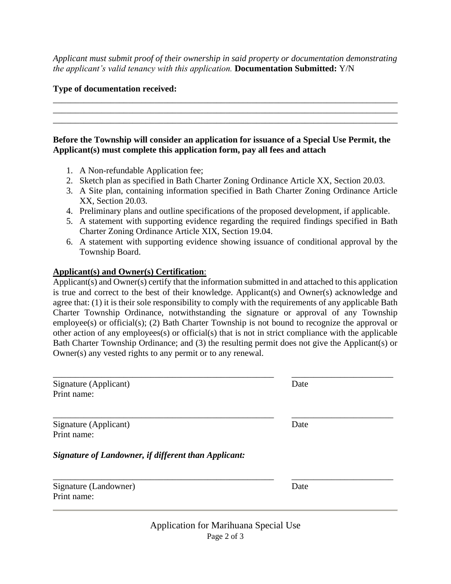*Applicant must submit proof of their ownership in said property or documentation demonstrating the applicant's valid tenancy with this application.* **Documentation Submitted:** Y/N

\_\_\_\_\_\_\_\_\_\_\_\_\_\_\_\_\_\_\_\_\_\_\_\_\_\_\_\_\_\_\_\_\_\_\_\_\_\_\_\_\_\_\_\_\_\_\_\_\_\_\_\_\_\_\_\_\_\_\_\_\_\_\_\_\_\_\_\_\_\_\_\_\_\_\_\_\_\_ \_\_\_\_\_\_\_\_\_\_\_\_\_\_\_\_\_\_\_\_\_\_\_\_\_\_\_\_\_\_\_\_\_\_\_\_\_\_\_\_\_\_\_\_\_\_\_\_\_\_\_\_\_\_\_\_\_\_\_\_\_\_\_\_\_\_\_\_\_\_\_\_\_\_\_\_\_\_ \_\_\_\_\_\_\_\_\_\_\_\_\_\_\_\_\_\_\_\_\_\_\_\_\_\_\_\_\_\_\_\_\_\_\_\_\_\_\_\_\_\_\_\_\_\_\_\_\_\_\_\_\_\_\_\_\_\_\_\_\_\_\_\_\_\_\_\_\_\_\_\_\_\_\_\_\_\_

#### **Type of documentation received:**

#### **Before the Township will consider an application for issuance of a Special Use Permit, the Applicant(s) must complete this application form, pay all fees and attach**

- 1. A Non-refundable Application fee;
- 2. Sketch plan as specified in Bath Charter Zoning Ordinance Article XX, Section 20.03.
- 3. A Site plan, containing information specified in Bath Charter Zoning Ordinance Article XX, Section 20.03.
- 4. Preliminary plans and outline specifications of the proposed development, if applicable.
- 5. A statement with supporting evidence regarding the required findings specified in Bath Charter Zoning Ordinance Article XIX, Section 19.04.
- 6. A statement with supporting evidence showing issuance of conditional approval by the Township Board.

### **Applicant(s) and Owner(s) Certification**:

Applicant(s) and Owner(s) certify that the information submitted in and attached to this application is true and correct to the best of their knowledge. Applicant(s) and Owner(s) acknowledge and agree that: (1) it is their sole responsibility to comply with the requirements of any applicable Bath Charter Township Ordinance, notwithstanding the signature or approval of any Township employee(s) or official(s); (2) Bath Charter Township is not bound to recognize the approval or other action of any employees(s) or official(s) that is not in strict compliance with the applicable Bath Charter Township Ordinance; and (3) the resulting permit does not give the Applicant(s) or Owner(s) any vested rights to any permit or to any renewal.

| Signature (Applicant)<br>Print name:                 | Date |  |
|------------------------------------------------------|------|--|
| Signature (Applicant)<br>Print name:                 | Date |  |
| Signature of Landowner, if different than Applicant: |      |  |
| Signature (Landowner)<br>Print name:                 | Date |  |